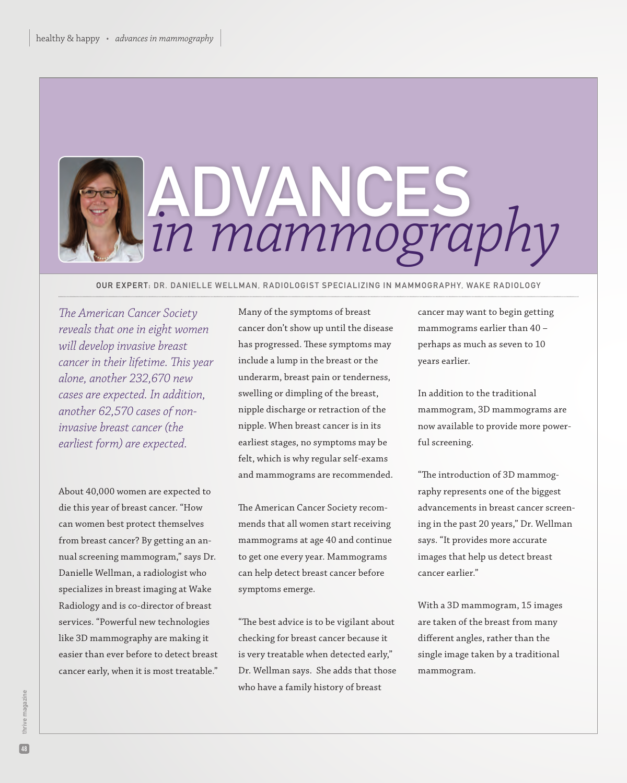

Our expert: dr. danielle wellman, radiologist specializing in mammogr aphy, wake radiology

*The American Cancer Society reveals that one in eight women will develop invasive breast cancer in their lifetime. This year alone, another 232,670 new cases are expected. In addition, another 62,570 cases of noninvasive breast cancer (the earliest form) are expected.*

About 40,000 women are expected to die this year of breast cancer. "How can women best protect themselves from breast cancer? By getting an annual screening mammogram," says Dr. Danielle Wellman, a radiologist who specializes in breast imaging at Wake Radiology and is co-director of breast services. "Powerful new technologies like 3D mammography are making it easier than ever before to detect breast cancer early, when it is most treatable."

Many of the symptoms of breast cancer don't show up until the disease has progressed. These symptoms may include a lump in the breast or the underarm, breast pain or tenderness, swelling or dimpling of the breast, nipple discharge or retraction of the nipple. When breast cancer is in its earliest stages, no symptoms may be felt, which is why regular self-exams and mammograms are recommended.

The American Cancer Society recommends that all women start receiving mammograms at age 40 and continue to get one every year. Mammograms can help detect breast cancer before symptoms emerge.

"The best advice is to be vigilant about checking for breast cancer because it is very treatable when detected early," Dr. Wellman says. She adds that those who have a family history of breast

cancer may want to begin getting mammograms earlier than 40 – perhaps as much as seven to 10 years earlier.

In addition to the traditional mammogram, 3D mammograms are now available to provide more powerful screening.

"The introduction of 3D mammography represents one of the biggest advancements in breast cancer screening in the past 20 years," Dr. Wellman says. "It provides more accurate images that help us detect breast cancer earlier."

With a 3D mammogram, 15 images are taken of the breast from many different angles, rather than the single image taken by a traditional mammogram.